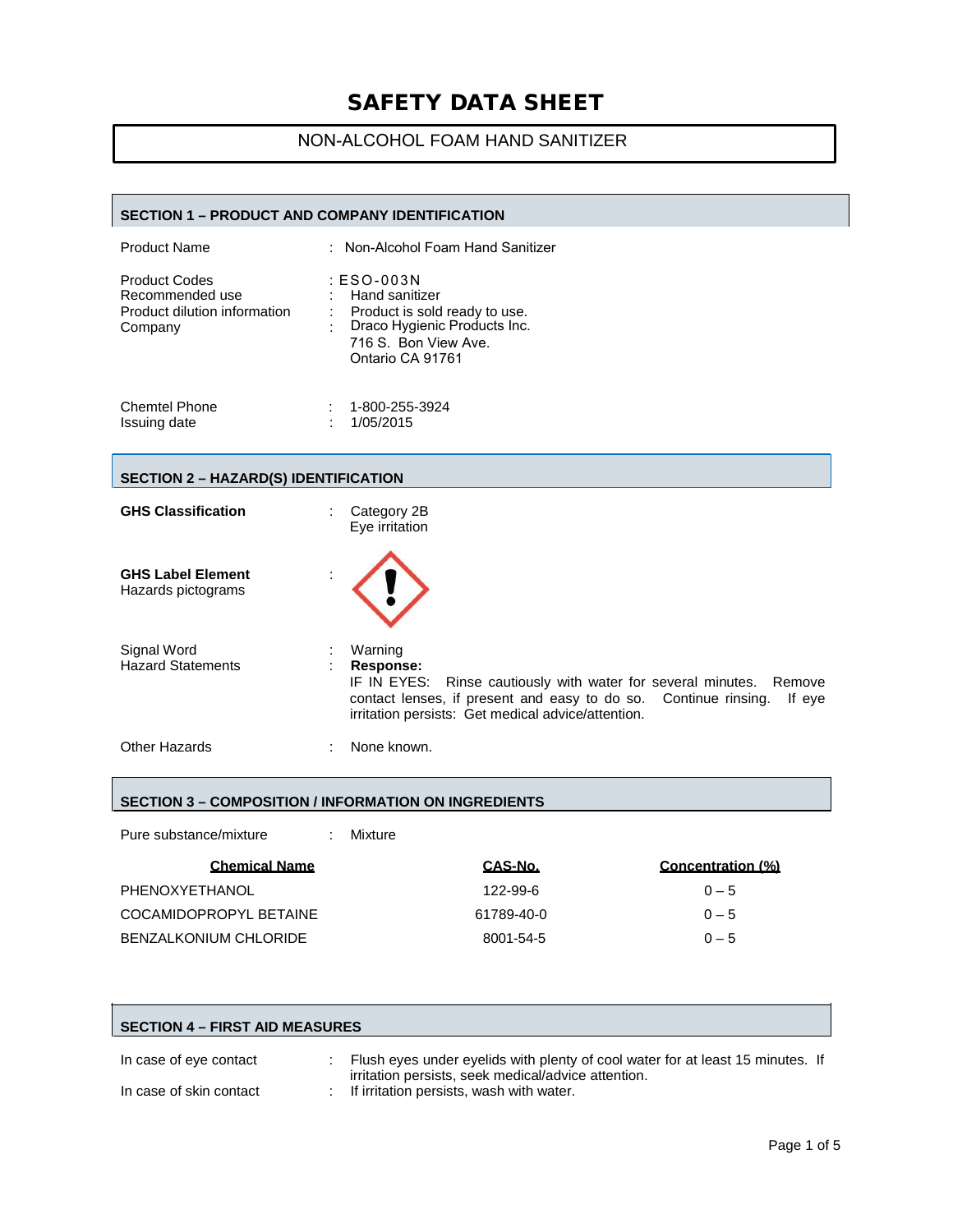## NON-ALCOHOL FOAM HAND SANITIZER

#### **SECTION 1 – PRODUCT AND COMPANY IDENTIFICATION**

| <b>Product Name</b>                                                                | : Non-Alcohol Foam Hand Sanitizer                                                                                                           |
|------------------------------------------------------------------------------------|---------------------------------------------------------------------------------------------------------------------------------------------|
| <b>Product Codes</b><br>Recommended use<br>Product dilution information<br>Company | : ESO-003N<br>: Hand sanitizer<br>Product is sold ready to use.<br>Draco Hygienic Products Inc.<br>716 S. Bon View Ave.<br>Ontario CA 91761 |
| <b>Chemtel Phone</b>                                                               | 1-800-255-3924                                                                                                                              |

| <b>UIBILIBI FIJULE</b> | <u>1-000-200-092</u> |
|------------------------|----------------------|
| Issuing date           | 1/05/2015            |

#### **SECTION 2 – HAZARD(S) IDENTIFICATION**

| <b>GHS Classification</b>                      | Category 2B<br>Eye irritation                                                                                                                                                                                                  |
|------------------------------------------------|--------------------------------------------------------------------------------------------------------------------------------------------------------------------------------------------------------------------------------|
| <b>GHS Label Element</b><br>Hazards pictograms |                                                                                                                                                                                                                                |
| Signal Word<br><b>Hazard Statements</b>        | Warning<br>Response:<br>IF IN EYES: Rinse cautiously with water for several minutes. Remove<br>contact lenses, if present and easy to do so. Continue rinsing.<br>If eve<br>irritation persists: Get medical advice/attention. |
| <b>Other Hazards</b>                           | None known.                                                                                                                                                                                                                    |

#### **SECTION 3 – COMPOSITION / INFORMATION ON INGREDIENTS**

| Pure substance/mixture | Mixture    |                   |
|------------------------|------------|-------------------|
| <b>Chemical Name</b>   | CAS-No.    | Concentration (%) |
| PHENOXYETHANOL         | 122-99-6   | $0 - 5$           |
| COCAMIDOPROPYL BETAINE | 61789-40-0 | $0 - 5$           |
| BENZALKONIUM CHLORIDE  | 8001-54-5  | $0 - 5$           |

| <b>SECTION 4 – FIRST AID MEASURES</b> |  |                                                                                                   |  |
|---------------------------------------|--|---------------------------------------------------------------------------------------------------|--|
| In case of eye contact                |  | Flush eyes under eyelids with plenty of cool water for at least 15 minutes. If                    |  |
| In case of skin contact               |  | irritation persists, seek medical/advice attention.<br>: If irritation persists, wash with water. |  |

 $\overline{\phantom{0}}$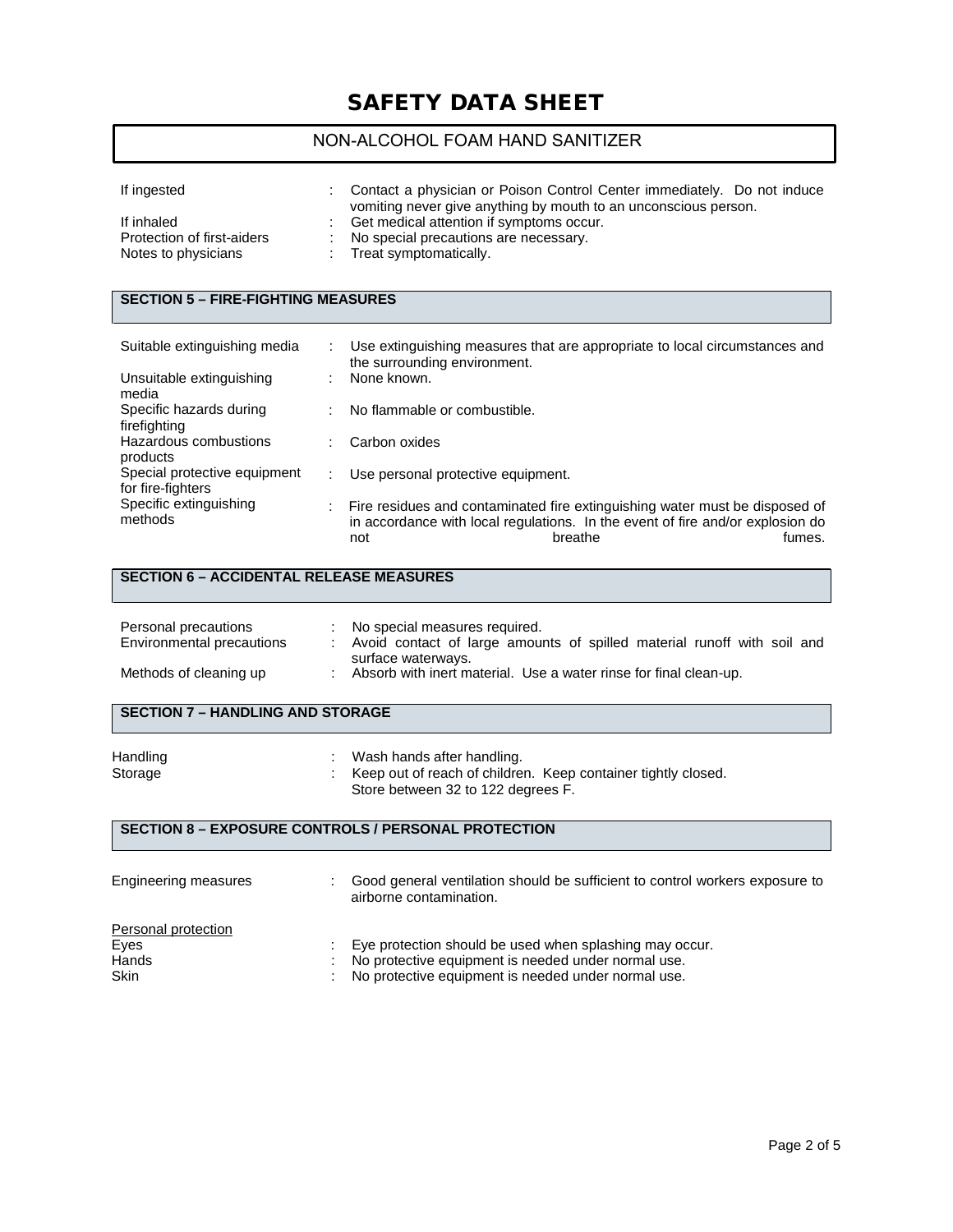## NON-ALCOHOL FOAM HAND SANITIZER

| If ingested                                                     | Contact a physician or Poison Control Center immediately. Do not induce<br>vomiting never give anything by mouth to an unconscious person. |
|-----------------------------------------------------------------|--------------------------------------------------------------------------------------------------------------------------------------------|
| If inhaled<br>Protection of first-aiders<br>Notes to physicians | Get medical attention if symptoms occur.<br>No special precautions are necessary.<br>: Treat symptomatically.                              |

### **SECTION 5 – FIRE-FIGHTING MEASURES**

| Suitable extinguishing media                      |   | Use extinguishing measures that are appropriate to local circumstances and<br>the surrounding environment.                                                                                |
|---------------------------------------------------|---|-------------------------------------------------------------------------------------------------------------------------------------------------------------------------------------------|
| Unsuitable extinguishing<br>media                 | ٠ | None known.                                                                                                                                                                               |
| Specific hazards during<br>firefighting           | ÷ | No flammable or combustible.                                                                                                                                                              |
| Hazardous combustions<br>products                 |   | Carbon oxides                                                                                                                                                                             |
| Special protective equipment<br>for fire-fighters | ÷ | Use personal protective equipment.                                                                                                                                                        |
| Specific extinguishing<br>methods                 |   | Fire residues and contaminated fire extinguishing water must be disposed of<br>in accordance with local regulations. In the event of fire and/or explosion do<br>breathe<br>fumes.<br>not |

#### **SECTION 6 – ACCIDENTAL RELEASE MEASURES**

| Personal precautions<br>Environmental precautions | No special measures required.<br>Avoid contact of large amounts of spilled material runoff with soil and |
|---------------------------------------------------|----------------------------------------------------------------------------------------------------------|
| Methods of cleaning up                            | surface waterways.<br>Absorb with inert material. Use a water rinse for final clean-up.                  |

#### **SECTION 7 – HANDLING AND STORAGE**

| Handling | Wash hands after handling.                                    |
|----------|---------------------------------------------------------------|
| Storage  | Keep out of reach of children. Keep container tightly closed. |
|          | Store between 32 to 122 degrees F.                            |

### **SECTION 8 – EXPOSURE CONTROLS / PERSONAL PROTECTION**

| Engineering measures                                | Good general ventilation should be sufficient to control workers exposure to<br>airborne contamination.                                                               |
|-----------------------------------------------------|-----------------------------------------------------------------------------------------------------------------------------------------------------------------------|
| Personal protection<br>Eyes<br>Hands<br><b>Skin</b> | Eye protection should be used when splashing may occur.<br>No protective equipment is needed under normal use.<br>No protective equipment is needed under normal use. |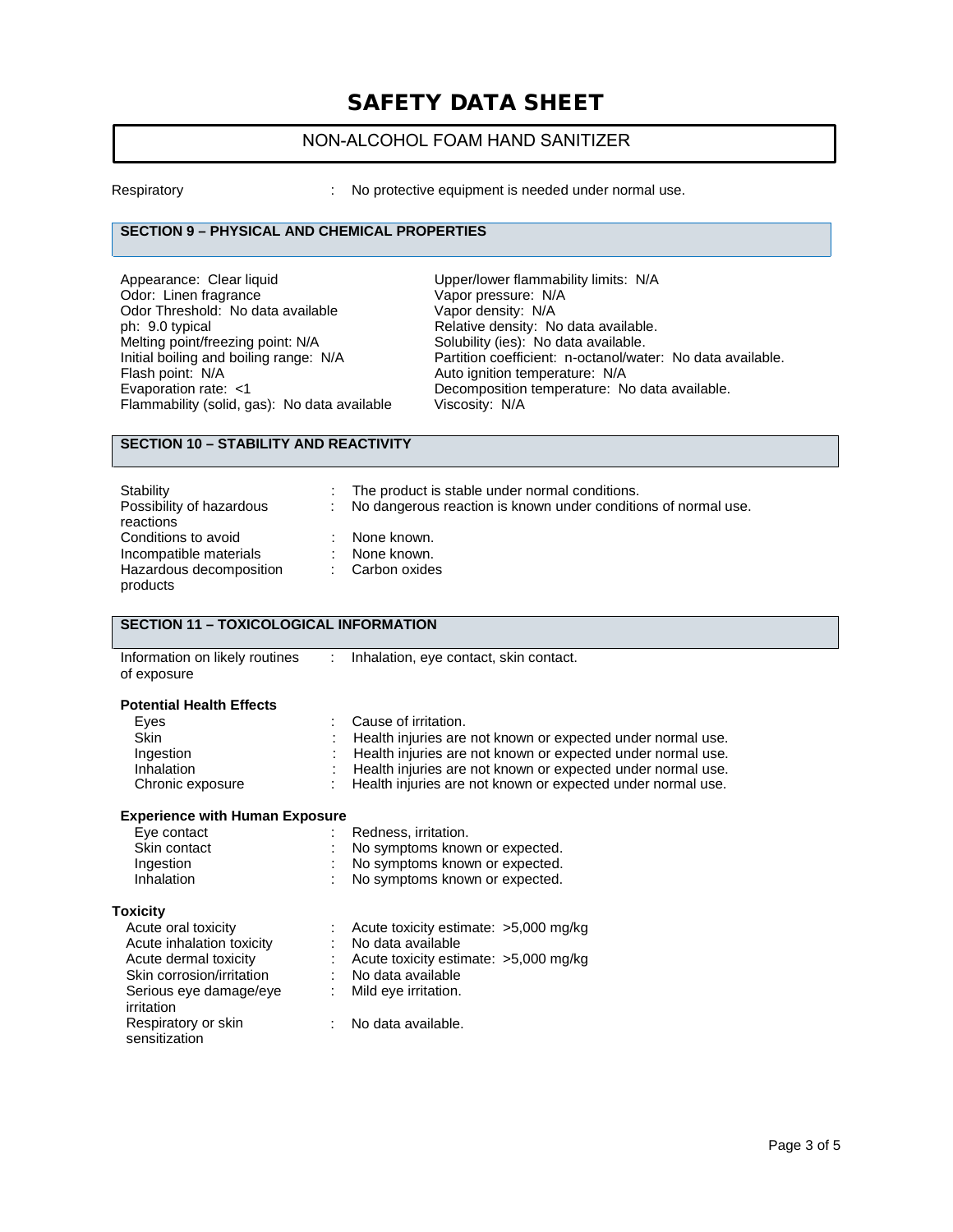## NON-ALCOHOL FOAM HAND SANITIZER

Respiratory : No protective equipment is needed under normal use.

#### **SECTION 9 – PHYSICAL AND CHEMICAL PROPERTIES**

Appearance: Clear liquid Upper/lower flammability limits: N/A Odor: Linen fragrance<br>Odor: Linen fragrance Vapor pressure: N/<br>Odor Threshold: No data available Vapor density: N/A Odor Threshold: No data available<br>ph: 9.0 typical ph: 9.0 typical ph: 9.0 typical controller the Relative density: No data available.<br>Melting point/freezing point: N/A Solubility (ies): No data available. Melting point/freezing point: N/A Solubility (ies): No data available.<br>
Initial boiling and boiling range: N/A Partition coefficient: n-octanol/wat Flash point: N/A<br>
Evaporation rate: <1 Channel Auto ignition temperature: N/A<br>
Decomposition temperature: N Flammability (solid, gas): No data available

Initial boiling and boiling range: N/A Partition coefficient: n-octanol/water: No data available.<br>Flash point: N/A Casa available. Decomposition temperature: No data available.<br>Viscosity: N/A

#### **SECTION 10 – STABILITY AND REACTIVITY**

| Stability                             |        | The product is stable under normal conditions.                 |
|---------------------------------------|--------|----------------------------------------------------------------|
| Possibility of hazardous<br>reactions | in the | No dangerous reaction is known under conditions of normal use. |
|                                       |        |                                                                |
| Conditions to avoid                   | ÷.     | None known.                                                    |
| Incompatible materials                | ÷.     | None known.                                                    |
| Hazardous decomposition<br>products   |        | Carbon oxides                                                  |

#### **SECTION 11 – TOXICOLOGICAL INFORMATION**

| Information on likely routines |  | Inhalation, eye contact, skin contact. |
|--------------------------------|--|----------------------------------------|
|--------------------------------|--|----------------------------------------|

of exposure

#### **Potential Health Effects**

| Eves             | : Cause of irritation.                                        |
|------------------|---------------------------------------------------------------|
| <b>Skin</b>      | : Health injuries are not known or expected under normal use. |
| Ingestion        | : Health injuries are not known or expected under normal use. |
| Inhalation       | : Health injuries are not known or expected under normal use. |
| Chronic exposure | : Health injuries are not known or expected under normal use. |

#### **Experience with Human Exposure**

| Eye contact       | Redness, irritation.           |
|-------------------|--------------------------------|
| Skin contact      | No symptoms known or expected. |
| Ingestion         | No symptoms known or expected. |
| <b>Inhalation</b> | No symptoms known or expected. |

#### **Toxicity**

| Acute oral toxicity       |    | : Acute toxicity estimate: $>5,000$ mg/kg |
|---------------------------|----|-------------------------------------------|
| Acute inhalation toxicity | t. | No data available                         |
| Acute dermal toxicity     |    | : Acute toxicity estimate: $>5,000$ mg/kg |
| Skin corrosion/irritation |    | No data available                         |
| Serious eye damage/eye    |    | Mild eye irritation.                      |
| irritation                |    |                                           |
| Respiratory or skin       |    | No data available.                        |
| sensitization             |    |                                           |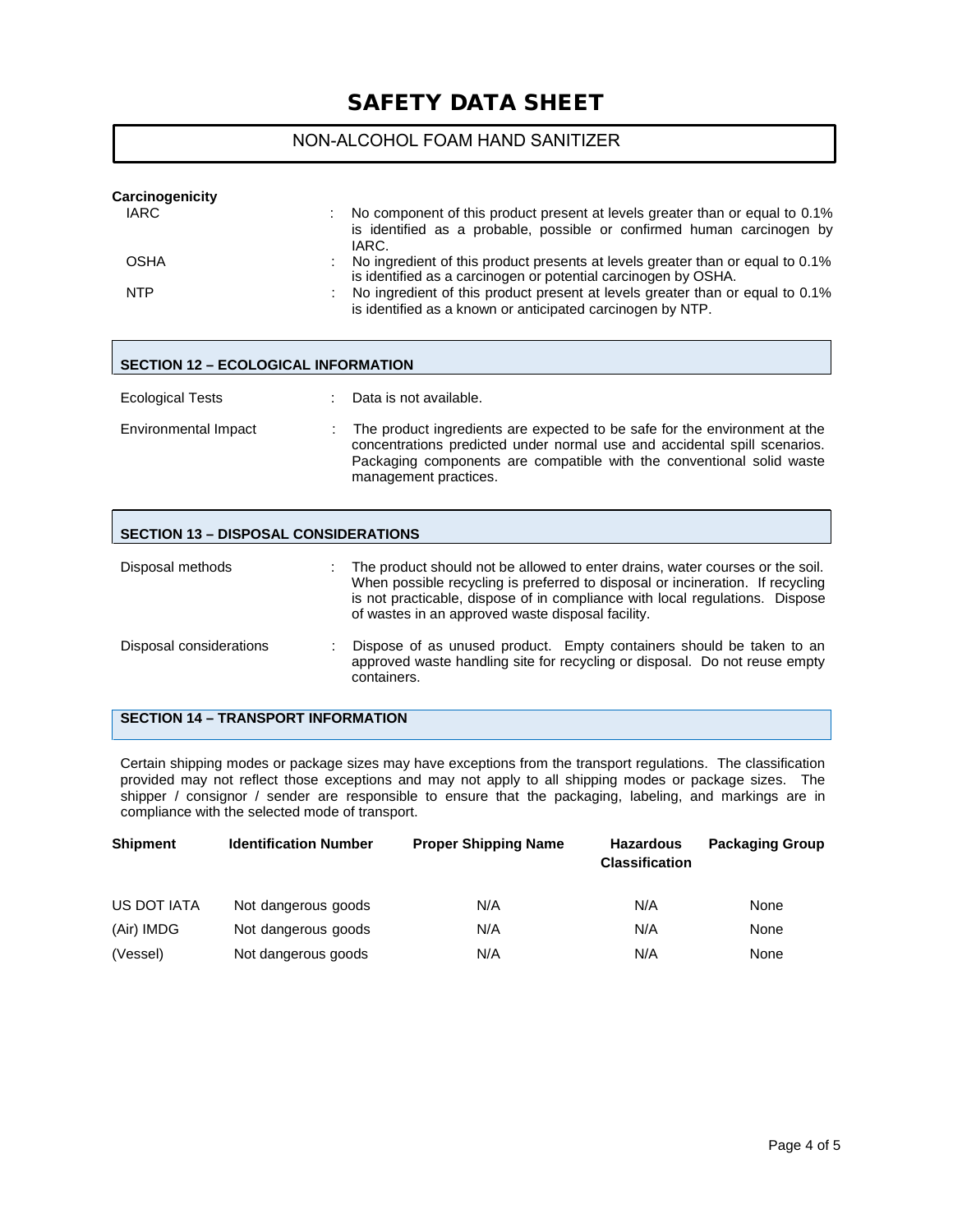## NON-ALCOHOL FOAM HAND SANITIZER

| <b>Carcinogenicity</b> |                                                                                                                                                                 |
|------------------------|-----------------------------------------------------------------------------------------------------------------------------------------------------------------|
| <b>IARC</b>            | No component of this product present at levels greater than or equal to 0.1%<br>is identified as a probable, possible or confirmed human carcinogen by<br>IARC. |
| <b>OSHA</b>            | No ingredient of this product presents at levels greater than or equal to 0.1%<br>is identified as a carcinogen or potential carcinogen by OSHA.                |
| <b>NTP</b>             | No ingredient of this product present at levels greater than or equal to 0.1%<br>is identified as a known or anticipated carcinogen by NTP.                     |

#### **SECTION 12 – ECOLOGICAL INFORMATION**

| <b>Ecological Tests</b> | Data is not available.                                                                                                                                                                                                                                    |
|-------------------------|-----------------------------------------------------------------------------------------------------------------------------------------------------------------------------------------------------------------------------------------------------------|
| Environmental Impact    | The product ingredients are expected to be safe for the environment at the<br>concentrations predicted under normal use and accidental spill scenarios.<br>Packaging components are compatible with the conventional solid waste<br>management practices. |

#### **SECTION 13 – DISPOSAL CONSIDERATIONS**

| Disposal methods        | The product should not be allowed to enter drains, water courses or the soil.<br>When possible recycling is preferred to disposal or incineration. If recycling<br>is not practicable, dispose of in compliance with local regulations. Dispose<br>of wastes in an approved waste disposal facility. |
|-------------------------|------------------------------------------------------------------------------------------------------------------------------------------------------------------------------------------------------------------------------------------------------------------------------------------------------|
| Disposal considerations | Dispose of as unused product. Empty containers should be taken to an<br>approved waste handling site for recycling or disposal. Do not reuse empty<br>containers.                                                                                                                                    |

### **SECTION 14 – TRANSPORT INFORMATION**

Certain shipping modes or package sizes may have exceptions from the transport regulations. The classification provided may not reflect those exceptions and may not apply to all shipping modes or package sizes. The shipper / consignor / sender are responsible to ensure that the packaging, labeling, and markings are in compliance with the selected mode of transport.

| <b>Shipment</b> | <b>Identification Number</b> | <b>Proper Shipping Name</b> | <b>Hazardous</b><br><b>Classification</b> | <b>Packaging Group</b> |
|-----------------|------------------------------|-----------------------------|-------------------------------------------|------------------------|
| US DOT IATA     | Not dangerous goods          | N/A                         | N/A                                       | None                   |
| (Air) IMDG      | Not dangerous goods          | N/A                         | N/A                                       | None                   |
| (Vessel)        | Not dangerous goods          | N/A                         | N/A                                       | None                   |